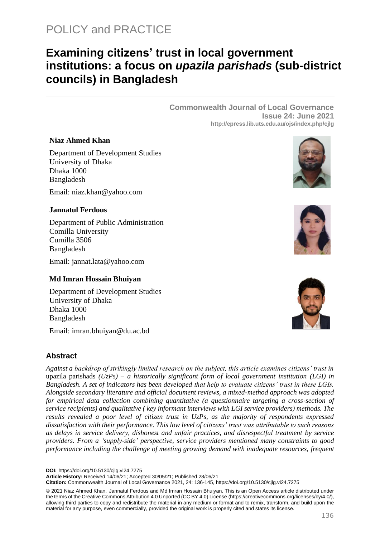# **Examining citizens' trust in local government institutions: a focus on** *upazila parishads* **(sub-district councils) in Bangladesh**

**Commonwealth Journal of Local Governance Issue 24: June 2021 http://epress.lib.uts.edu.au/ojs/index.php/cjlg**

# **Niaz Ahmed Khan**

Department of Development Studies University of Dhaka Dhaka 1000 Bangladesh

Email: [niaz.khan@yahoo.com](mailto:imran.bhuiyan@du.ac.bd)

# **Jannatul Ferdous**

Department of Public Administration Comilla University Cumilla 3506 Bangladesh

Email: [jannat.lata@yahoo.com](mailto:jannat.lata@yahoo.com)

# **Md Imran Hossain Bhuiyan**

Department of Development Studies University of Dhaka Dhaka 1000 Bangladesh

Email: [imran.bhuiyan@du.ac.bd](mailto:imran.bhuiyan@du.ac.bd)

# **Abstract**

*Against a backdrop of strikingly limited research on the subject, this article examines citizens' trust in*  upazila parishads *(UzPs) – a historically significant form of local government institution (LGI) in Bangladesh. A set of indicators has been developed that help to evaluate citizens' trust in these LGIs. Alongside secondary literature and official document reviews, a mixed-method approach was adopted for empirical data collection combining quantitative (a questionnaire targeting a cross-section of service recipients) and qualitative ( key informant interviews with LGI service providers) methods. The results revealed a poor level of citizen trust in UzPs, as the majority of respondents expressed dissatisfaction with their performance. This low level of citizens' trust was attributable to such reasons as delays in service delivery, dishonest and unfair practices, and disrespectful treatment by service providers. From a 'supply-side' perspective, service providers mentioned many constraints to good performance including the challenge of meeting growing demand with inadequate resources, frequent* 

**DOI:** https://doi.org/10.5130/cjlg.vi24.7275

**Article History:** Received 14/06/21; Accepted 30/05/21; Published 28/06/21

**Citation:** Commonwealth Journal of Local Governance 2021, 24: 136-145, https://doi.org/10.5130/cjlg.vi24.7275

© 2021 Niaz Ahmed Khan, Jannatul Ferdous and Md Imran Hossain Bhuiyan. This is an Open Access article distributed under the terms of the Creative Commons Attribution 4.0 Unported (CC BY 4.0) License [\(https://creativecommons.org/licenses/by/4.0/\)](https://creativecommons.org/licenses/by/4.0/), allowing third parties to copy and redistribute the material in any medium or format and to remix, transform, and build upon the material for any purpose, even commercially, provided the original work is properly cited and states its license.





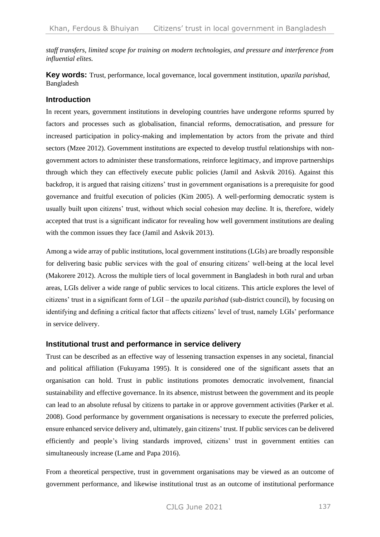*staff transfers, limited scope for training on modern technologies, and pressure and interference from influential elites.*

**Key words:** Trust, performance, local governance, local government institution, *upazila parishad*, Bangladesh

# **Introduction**

In recent years, government institutions in developing countries have undergone reforms spurred by factors and processes such as globalisation, financial reforms, democratisation, and pressure for increased participation in policy-making and implementation by actors from the private and third sectors (Mzee 2012). Government institutions are expected to develop trustful relationships with nongovernment actors to administer these transformations, reinforce legitimacy, and improve partnerships through which they can effectively execute public policies (Jamil and Askvik 2016). Against this backdrop, it is argued that raising citizens' trust in government organisations is a prerequisite for good governance and fruitful execution of policies (Kim 2005). A well-performing democratic system is usually built upon citizens' trust, without which social cohesion may decline. It is, therefore, widely accepted that trust is a significant indicator for revealing how well government institutions are dealing with the common issues they face (Jamil and Askvik 2013).

Among a wide array of public institutions, local government institutions (LGIs) are broadly responsible for delivering basic public services with the goal of ensuring citizens' well-being at the local level (Makorere 2012). Across the multiple tiers of local government in Bangladesh in both rural and urban areas, LGIs deliver a wide range of public services to local citizens. This article explores the level of citizens' trust in a significant form of LGI – the *upazila parishad* (sub-district council), by focusing on identifying and defining a critical factor that affects citizens' level of trust, namely LGIs' performance in service delivery.

# **Institutional trust and performance in service delivery**

Trust can be described as an effective way of lessening transaction expenses in any societal, financial and political affiliation (Fukuyama 1995). It is considered one of the significant assets that an organisation can hold. Trust in public institutions promotes democratic involvement, financial sustainability and effective governance. In its absence, mistrust between the government and its people can lead to an absolute refusal by citizens to partake in or approve government activities (Parker et al. 2008). Good performance by government organisations is necessary to execute the preferred policies, ensure enhanced service delivery and, ultimately, gain citizens' trust. If public services can be delivered efficiently and people's living standards improved, citizens' trust in government entities can simultaneously increase (Lame and Papa 2016).

From a theoretical perspective, trust in government organisations may be viewed as an outcome of government performance, and likewise institutional trust as an outcome of institutional performance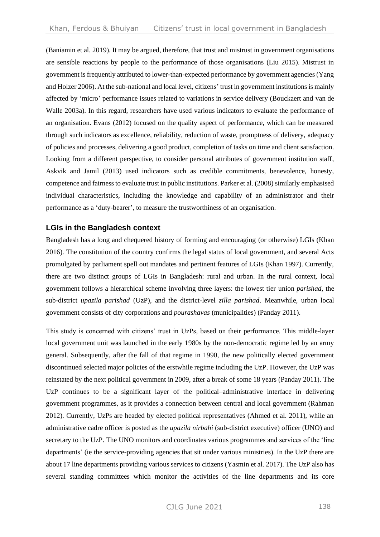(Baniamin et al. 2019). It may be argued, therefore, that trust and mistrust in government organisations are sensible reactions by people to the performance of those organisations (Liu 2015). Mistrust in government is frequently attributed to lower-than-expected performance by government agencies (Yang and Holzer 2006). At the sub-national and local level, citizens' trust in government institutions is mainly affected by 'micro' performance issues related to variations in service delivery (Bouckaert and van de Walle 2003a). In this regard, researchers have used various indicators to evaluate the performance of an organisation. Evans (2012) focused on the quality aspect of performance, which can be measured through such indicators as excellence, reliability, reduction of waste, promptness of delivery, adequacy of policies and processes, delivering a good product, completion of tasks on time and client satisfaction. Looking from a different perspective, to consider personal attributes of government institution staff, Askvik and Jamil (2013) used indicators such as credible commitments, benevolence, honesty, competence and fairness to evaluate trust in public institutions. Parker et al. (2008) similarly emphasised individual characteristics, including the knowledge and capability of an administrator and their performance as a 'duty-bearer', to measure the trustworthiness of an organisation.

# **LGIs in the Bangladesh context**

Bangladesh has a long and chequered history of forming and encouraging (or otherwise) LGIs (Khan 2016). The constitution of the country confirms the legal status of local government, and several Acts promulgated by parliament spell out mandates and pertinent features of LGIs (Khan 1997). Currently, there are two distinct groups of LGIs in Bangladesh: rural and urban. In the rural context, local government follows a hierarchical scheme involving three layers: the lowest tier union *parishad*, the sub-district *upazila parishad* (UzP), and the district-level *zilla parishad*. Meanwhile, urban local government consists of city corporations and *pourashavas* (municipalities) (Panday 2011).

This study is concerned with citizens' trust in UzPs, based on their performance. This middle-layer local government unit was launched in the early 1980s by the non-democratic regime led by an army general. Subsequently, after the fall of that regime in 1990, the new politically elected government discontinued selected major policies of the erstwhile regime including the UzP. However, the UzP was reinstated by the next political government in 2009, after a break of some 18 years (Panday 2011). The UzP continues to be a significant layer of the political–administrative interface in delivering government programmes, as it provides a connection between central and local government (Rahman 2012). Currently, UzPs are headed by elected political representatives (Ahmed et al. 2011), while an administrative cadre officer is posted as the *upazila nirbahi* (sub-district executive) officer (UNO) and secretary to the UzP. The UNO monitors and coordinates various programmes and services of the 'line departments' (ie the service-providing agencies that sit under various ministries). In the UzP there are about 17 line departments providing various services to citizens (Yasmin et al. 2017). The UzP also has several standing committees which monitor the activities of the line departments and its core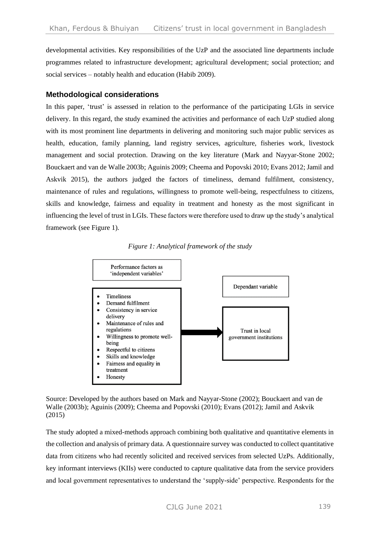developmental activities. Key responsibilities of the UzP and the associated line departments include programmes related to infrastructure development; agricultural development; social protection; and social services – notably health and education (Habib 2009).

#### **Methodological considerations**

In this paper, 'trust' is assessed in relation to the performance of the participating LGIs in service delivery. In this regard, the study examined the activities and performance of each UzP studied along with its most prominent line departments in delivering and monitoring such major public services as health, education, family planning, land registry services, agriculture, fisheries work, livestock management and social protection. Drawing on the key literature (Mark and Nayyar-Stone 2002; Bouckaert and van de Walle 2003b; Aguinis 2009; Cheema and Popovski 2010; Evans 2012; Jamil and Askvik 2015), the authors judged the factors of timeliness, demand fulfilment, consistency, maintenance of rules and regulations, willingness to promote well-being, respectfulness to citizens, skills and knowledge, fairness and equality in treatment and honesty as the most significant in influencing the level of trust in LGIs. These factors were therefore used to draw up the study's analytical framework (see Figure 1).





Source: Developed by the authors based on Mark and Nayyar-Stone (2002); Bouckaert and van de Walle (2003b); Aguinis (2009); Cheema and Popovski (2010); Evans (2012); Jamil and Askvik (2015)

The study adopted a mixed-methods approach combining both qualitative and quantitative elements in the collection and analysis of primary data. A questionnaire survey was conducted to collect quantitative data from citizens who had recently solicited and received services from selected UzPs. Additionally, key informant interviews (KIIs) were conducted to capture qualitative data from the service providers and local government representatives to understand the 'supply-side' perspective. Respondents for the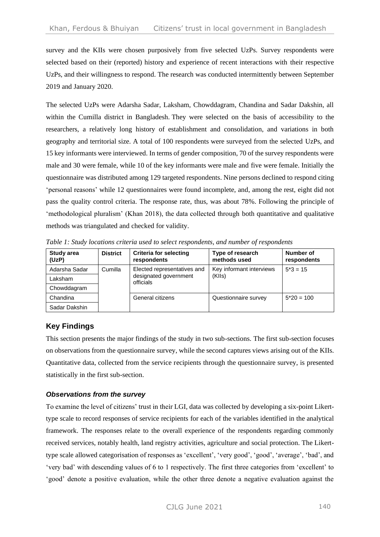survey and the KIIs were chosen purposively from five selected UzPs. Survey respondents were selected based on their (reported) history and experience of recent interactions with their respective UzPs, and their willingness to respond. The research was conducted intermittently between September 2019 and January 2020.

The selected UzPs were Adarsha Sadar, Laksham, Chowddagram, Chandina and Sadar Dakshin, all within the Cumilla district in Bangladesh. They were selected on the basis of accessibility to the researchers, a relatively long history of establishment and consolidation, and variations in both geography and territorial size. A total of 100 respondents were surveyed from the selected UzPs, and 15 key informants were interviewed. In terms of gender composition, 70 of the survey respondents were male and 30 were female, while 10 of the key informants were male and five were female. Initially the questionnaire was distributed among 129 targeted respondents. Nine persons declined to respond citing 'personal reasons' while 12 questionnaires were found incomplete, and, among the rest, eight did not pass the quality control criteria. The response rate, thus, was about 78%. Following the principle of 'methodological pluralism' (Khan 2018), the data collected through both quantitative and qualitative methods was triangulated and checked for validity.

| <b>Study area</b><br>(UzP) | <b>District</b> | <b>Criteria for selecting</b><br>respondents                      | Type of research<br>methods used | Number of<br>respondents |  |
|----------------------------|-----------------|-------------------------------------------------------------------|----------------------------------|--------------------------|--|
| Adarsha Sadar              | Cumilla         | Elected representatives and<br>designated government<br>officials | Key informant interviews         | $5*3 = 15$               |  |
| Laksham                    |                 |                                                                   | (KIIs)                           |                          |  |
| Chowddagram                |                 |                                                                   |                                  |                          |  |
| Chandina                   |                 | General citizens                                                  | Questionnaire survey             | $5*20 = 100$             |  |
| Sadar Dakshin              |                 |                                                                   |                                  |                          |  |

*Table 1: Study locations criteria used to select respondents, and number of respondents*

# **Key Findings**

This section presents the major findings of the study in two sub-sections. The first sub-section focuses on observations from the questionnaire survey, while the second captures views arising out of the KIIs. Quantitative data, collected from the service recipients through the questionnaire survey, is presented statistically in the first sub-section.

# *Observations from the survey*

To examine the level of citizens' trust in their LGI, data was collected by developing a six-point Likerttype scale to record responses of service recipients for each of the variables identified in the analytical framework. The responses relate to the overall experience of the respondents regarding commonly received services, notably health, land registry activities, agriculture and social protection. The Likerttype scale allowed categorisation of responses as 'excellent', 'very good', 'good', 'average', 'bad', and 'very bad' with descending values of 6 to 1 respectively. The first three categories from 'excellent' to 'good' denote a positive evaluation, while the other three denote a negative evaluation against the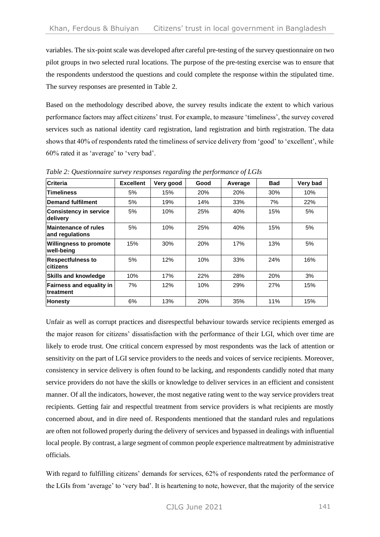variables. The six-point scale was developed after careful pre-testing of the survey questionnaire on two pilot groups in two selected rural locations. The purpose of the pre-testing exercise was to ensure that the respondents understood the questions and could complete the response within the stipulated time. The survey responses are presented in Table 2.

Based on the methodology described above, the survey results indicate the extent to which various performance factors may affect citizens' trust. For example, to measure 'timeliness', the survey covered services such as national identity card registration, land registration and birth registration. The data shows that 40% of respondents rated the timeliness of service delivery from 'good' to 'excellent', while 60% rated it as 'average' to 'very bad'.

| <b>Criteria</b>                                | <b>Excellent</b> | Very good | Good | Average | <b>Bad</b> | Very bad |
|------------------------------------------------|------------------|-----------|------|---------|------------|----------|
| <b>Timeliness</b>                              | 5%               | 15%       | 20%  | 20%     | 30%        | 10%      |
| Demand fulfilment                              | 5%               | 19%       | 14%  | 33%     | 7%         | 22%      |
| <b>Consistency in service</b><br>delivery      | 5%               | 10%       | 25%  | 40%     | 15%        | 5%       |
| <b>Maintenance of rules</b><br>and regulations | 5%               | 10%       | 25%  | 40%     | 15%        | 5%       |
| <b>Willingness to promote</b><br>well-being    | 15%              | 30%       | 20%  | 17%     | 13%        | 5%       |
| <b>Respectfulness to</b><br>citizens           | 5%               | 12%       | 10%  | 33%     | 24%        | 16%      |
| <b>Skills and knowledge</b>                    | 10%              | 17%       | 22%  | 28%     | 20%        | 3%       |
| <b>Fairness and equality in</b><br>ltreatment  | 7%               | 12%       | 10%  | 29%     | 27%        | 15%      |
| Honesty                                        | 6%               | 13%       | 20%  | 35%     | 11%        | 15%      |

*Table 2: Questionnaire survey responses regarding the performance of LGIs*

Unfair as well as corrupt practices and disrespectful behaviour towards service recipients emerged as the major reason for citizens' dissatisfaction with the performance of their LGI, which over time are likely to erode trust. One critical concern expressed by most respondents was the lack of attention or sensitivity on the part of LGI service providers to the needs and voices of service recipients. Moreover, consistency in service delivery is often found to be lacking, and respondents candidly noted that many service providers do not have the skills or knowledge to deliver services in an efficient and consistent manner. Of all the indicators, however, the most negative rating went to the way service providers treat recipients. Getting fair and respectful treatment from service providers is what recipients are mostly concerned about, and in dire need of. Respondents mentioned that the standard rules and regulations are often not followed properly during the delivery of services and bypassed in dealings with influential local people. By contrast, a large segment of common people experience maltreatment by administrative officials.

With regard to fulfilling citizens' demands for services, 62% of respondents rated the performance of the LGIs from 'average' to 'very bad'. It is heartening to note, however, that the majority of the service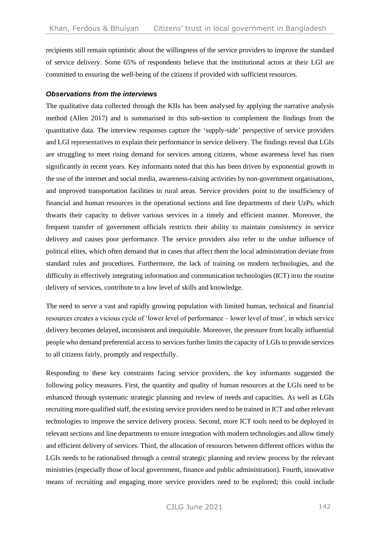recipients still remain optimistic about the willingness of the service providers to improve the standard of service delivery. Some 65% of respondents believe that the institutional actors at their LGI are committed to ensuring the well-being of the citizens if provided with sufficient resources.

#### *Observations from the interviews*

The qualitative data collected through the KIIs has been analysed by applying the narrative analysis method (Allen 2017) and is summarised in this sub-section to complement the findings from the quantitative data. The interview responses capture the 'supply-side' perspective of service providers and LGI representatives to explain their performance in service delivery. The findings reveal that LGIs are struggling to meet rising demand for services among citizens, whose awareness level has risen significantly in recent years. Key informants noted that this has been driven by exponential growth in the use of the internet and social media, awareness-raising activities by non-government organisations, and improved transportation facilities in rural areas. Service providers point to the insufficiency of financial and human resources in the operational sections and line departments of their UzPs, which thwarts their capacity to deliver various services in a timely and efficient manner. Moreover, the frequent transfer of government officials restricts their ability to maintain consistency in service delivery and causes poor performance. The service providers also refer to the undue influence of political elites, which often demand that in cases that affect them the local administration deviate from standard rules and procedures. Furthermore, the lack of training on modern technologies, and the difficulty in effectively integrating information and communication technologies (ICT) into the routine delivery of services, contribute to a low level of skills and knowledge.

The need to serve a vast and rapidly growing population with limited human, technical and financial resources creates a vicious cycle of 'lower level of performance – lower level of trust', in which service delivery becomes delayed, inconsistent and inequitable. Moreover, the pressure from locally influential people who demand preferential access to services further limits the capacity of LGIs to provide services to all citizens fairly, promptly and respectfully.

Responding to these key constraints facing service providers, the key informants suggested the following policy measures. First, the quantity and quality of human resources at the LGIs need to be enhanced through systematic strategic planning and review of needs and capacities. As well as LGIs recruiting more qualified staff, the existing service providers need to be trained in ICT and other relevant technologies to improve the service delivery process. Second, more ICT tools need to be deployed in relevant sections and line departments to ensure integration with modern technologies and allow timely and efficient delivery of services. Third, the allocation of resources between different offices within the LGIs needs to be rationalised through a central strategic planning and review process by the relevant ministries (especially those of local government, finance and public administration). Fourth, innovative means of recruiting and engaging more service providers need to be explored; this could include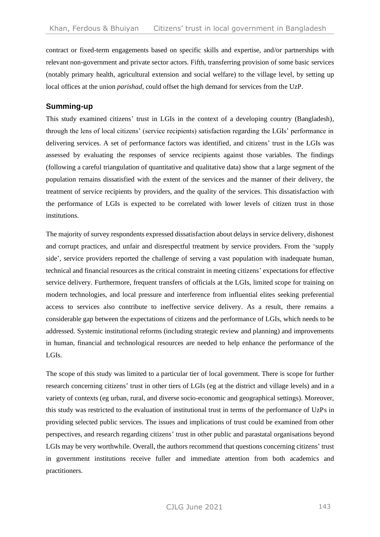contract or fixed-term engagements based on specific skills and expertise, and/or partnerships with relevant non-government and private sector actors. Fifth, transferring provision of some basic services (notably primary health, agricultural extension and social welfare) to the village level, by setting up local offices at the union *parishad*, could offset the high demand for services from the UzP.

# **Summing-up**

This study examined citizens' trust in LGIs in the context of a developing country (Bangladesh), through the lens of local citizens' (service recipients) satisfaction regarding the LGIs' performance in delivering services. A set of performance factors was identified, and citizens' trust in the LGIs was assessed by evaluating the responses of service recipients against those variables. The findings (following a careful triangulation of quantitative and qualitative data) show that a large segment of the population remains dissatisfied with the extent of the services and the manner of their delivery, the treatment of service recipients by providers, and the quality of the services. This dissatisfaction with the performance of LGIs is expected to be correlated with lower levels of citizen trust in those institutions.

The majority of survey respondents expressed dissatisfaction about delays in service delivery, dishonest and corrupt practices, and unfair and disrespectful treatment by service providers. From the 'supply side', service providers reported the challenge of serving a vast population with inadequate human, technical and financial resources as the critical constraint in meeting citizens' expectations for effective service delivery. Furthermore, frequent transfers of officials at the LGIs, limited scope for training on modern technologies, and local pressure and interference from influential elites seeking preferential access to services also contribute to ineffective service delivery. As a result, there remains a considerable gap between the expectations of citizens and the performance of LGIs, which needs to be addressed. Systemic institutional reforms (including strategic review and planning) and improvements in human, financial and technological resources are needed to help enhance the performance of the LGIs.

The scope of this study was limited to a particular tier of local government. There is scope for further research concerning citizens' trust in other tiers of LGIs (eg at the district and village levels) and in a variety of contexts (eg urban, rural, and diverse socio-economic and geographical settings). Moreover, this study was restricted to the evaluation of institutional trust in terms of the performance of UzPs in providing selected public services. The issues and implications of trust could be examined from other perspectives, and research regarding citizens' trust in other public and parastatal organisations beyond LGIs may be very worthwhile. Overall, the authors recommend that questions concerning citizens' trust in government institutions receive fuller and immediate attention from both academics and practitioners.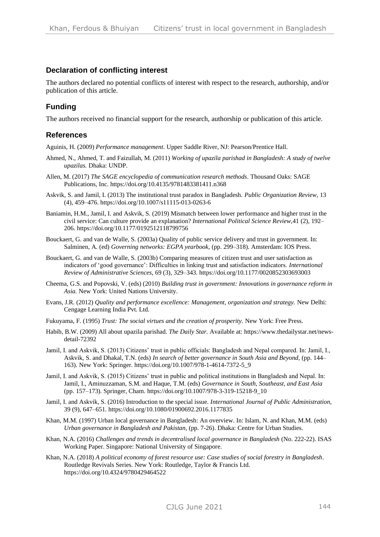# **Declaration of conflicting interest**

The authors declared no potential conflicts of interest with respect to the research, authorship, and/or publication of this article.

# **Funding**

The authors received no financial support for the research, authorship or publication of this article.

#### **References**

Aguinis, H. (2009) *Performance management*. Upper Saddle River, NJ: Pearson/Prentice Hall.

- Ahmed, N., Ahmed, T. and Faizullah, M. (2011) *Working of upazila parishad in Bangladesh: A study of twelve upazilas.* Dhaka: UNDP.
- Allen, M. (2017) *The SAGE encyclopedia of communication research methods*. Thousand Oaks: SAGE Publications, Inc. <https://doi.org/10.4135/9781483381411.n368>
- Askvik, S. and Jamil, I. (2013) The institutional trust paradox in Bangladesh. *Public Organization Review*, 13 (4), 459–476.<https://doi.org/10.1007/s11115-013-0263-6>
- Baniamin, H.M., Jamil, I. and Askvik, S. (2019) Mismatch between lower performance and higher trust in the civil service: Can culture provide an explanation? *International Political Science Review,*41 (2), 192– 206.<https://doi.org/10.1177/0192512118799756>
- Bouckaert, G. and van de Walle, S. (2003a) Quality of public service delivery and trust in government. In: Salminen, A. (ed) *Governing networks: EGPA yearbook*, (pp. 299–318). Amsterdam: IOS Press.
- Bouckaert, G. and van de Walle, S. (2003b) Comparing measures of citizen trust and user satisfaction as indicators of 'good governance': Difficulties in linking trust and satisfaction indicators. *International Review of Administrative Sciences*, 69 (3), 329–343. <https://doi.org/10.1177/0020852303693003>
- Cheema, G.S. and Popovski, V. (eds) (2010) *Building trust in government: Innovations in governance reform in Asia.* New York: United Nations University.
- Evans, J.R. (2012) *Quality and performance excellence: Management, organization and strategy.* New Delhi: Cengage Learning India Pvt. Ltd.
- Fukuyama, F. (1995) *Trust: The social virtues and the creation of prosperity.* New York: Free Press.
- Habib, B.W. (2009) All about upazila parishad. *The Daily Star.* Available at: [https://www.thedailystar.net/news](https://www.thedailystar.net/news-detail-72392)[detail-72392](https://www.thedailystar.net/news-detail-72392)
- Jamil, I. and Askvik, S. (2013) Citizens' trust in public officials: Bangladesh and Nepal compared. In: Jamil, I., Askvik, S. and Dhakal, T.N. (eds) *In search of better governance in South Asia and Beyond,* (pp. 144– 163). New York: Springer. [https://doi.org/10.1007/978-1-4614-7372-5\\_9](https://doi.org/10.1007/978-1-4614-7372-5_9)
- Jamil, I. and Askvik, S. (2015) Citizens' trust in public and political institutions in Bangladesh and Nepal. In: Jamil, I., Aminuzzaman, S.M. and Haque, T.M. (eds) *Governance in South, Southeast, and East Asia*  (pp. 157–173)*.* Springer, Cham. [https://doi.org/10.1007/978-3-319-15218-9\\_10](https://doi.org/10.1007/978-3-319-15218-9_10)
- Jamil, I. and Askvik, S. (2016) Introduction to the special issue. *International Journal of Public Administration,* 39 (9), 647–651[. https://doi.org/10.1080/01900692.2016.1177835](https://doi.org/10.1080/01900692.2016.1177835)
- Khan, M.M. (1997) Urban local governance in Bangladesh: An overview. In: Islam, N. and Khan, M.M. (eds) *Urban governance in Bangladesh and Pakistan,* (pp. 7-26). Dhaka: Centre for Urban Studies.
- Khan, N.A. (2016) *Challenges and trends in decentralised local governance in Bangladesh* (No. 222-22). ISAS Working Paper. Singapore: National University of Singapore.
- Khan, N.A. (2018) *A political economy of forest resource use: Case studies of social forestry in Bangladesh*. Routledge Revivals Series. New York: Routledge, Taylor & Francis Ltd. <https://doi.org/10.4324/9780429464522>